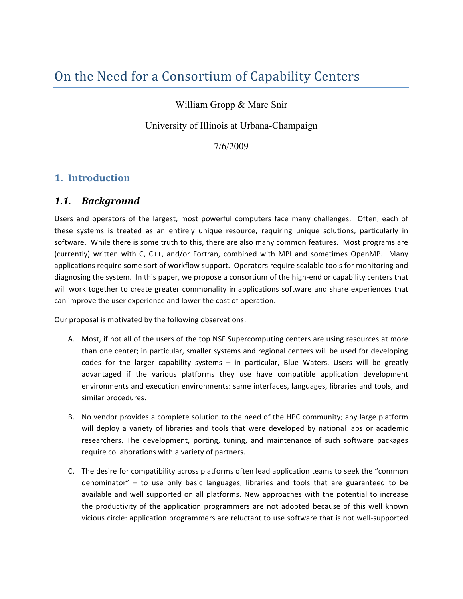# On the Need for a Consortium of Capability Centers

## William Gropp & Marc Snir

### University of Illinois at Urbana-Champaign

### $7/6/2009$

## 1. Introduction

#### $1.1.$ **Background**

Users and operators of the largest, most powerful computers face many challenges. Often, each of these systems is treated as an entirely unique resource, requiring unique solutions, particularly in software. While there is some truth to this, there are also many common features. Most programs are (currently) written with C, C++, and/or Fortran, combined with MPI and sometimes OpenMP. Many applications require some sort of workflow support. Operators require scalable tools for monitoring and diagnosing the system. In this paper, we propose a consortium of the high-end or capability centers that will work together to create greater commonality in applications software and share experiences that can improve the user experience and lower the cost of operation.

Our proposal is motivated by the following observations:

- A. Most, if not all of the users of the top NSF Supercomputing centers are using resources at more than one center; in particular, smaller systems and regional centers will be used for developing codes for the larger capability systems - in particular, Blue Waters. Users will be greatly advantaged if the various platforms they use have compatible application development environments and execution environments: same interfaces, languages, libraries and tools, and similar procedures.
- B. No vendor provides a complete solution to the need of the HPC community; any large platform will deploy a variety of libraries and tools that were developed by national labs or academic researchers. The development, porting, tuning, and maintenance of such software packages require collaborations with a variety of partners.
- C. The desire for compatibility across platforms often lead application teams to seek the "common" denominator" - to use only basic languages, libraries and tools that are guaranteed to be available and well supported on all platforms. New approaches with the potential to increase the productivity of the application programmers are not adopted because of this well known vicious circle: application programmers are reluctant to use software that is not well-supported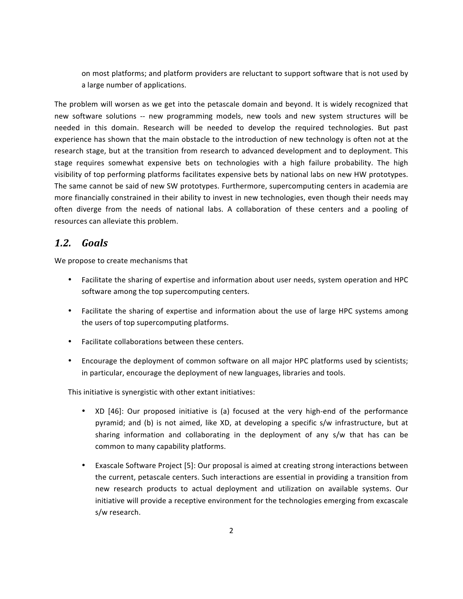on most platforms; and platform providers are reluctant to support software that is not used by a large number of applications.

The problem will worsen as we get into the petascale domain and beyond. It is widely recognized that new software solutions -- new programming models, new tools and new system structures will be needed in this domain. Research will be needed to develop the required technologies. But past experience has shown that the main obstacle to the introduction of new technology is often not at the research stage, but at the transition from research to advanced development and to deployment. This stage requires somewhat expensive bets on technologies with a high failure probability. The high visibility of top performing platforms facilitates expensive bets by national labs on new HW prototypes. The same cannot be said of new SW prototypes. Furthermore, supercomputing centers in academia are more financially constrained in their ability to invest in new technologies, even though their needs may often diverge from the needs of national labs. A collaboration of these centers and a pooling of resources can alleviate this problem.

#### $1.2.$ Goals

We propose to create mechanisms that

- Facilitate the sharing of expertise and information about user needs, system operation and HPC software among the top supercomputing centers.
- Facilitate the sharing of expertise and information about the use of large HPC systems among the users of top supercomputing platforms.
- Facilitate collaborations between these centers.
- Encourage the deployment of common software on all major HPC platforms used by scientists; in particular, encourage the deployment of new languages, libraries and tools.

This initiative is synergistic with other extant initiatives:

- XD [46]: Our proposed initiative is (a) focused at the very high-end of the performance pyramid; and (b) is not aimed, like XD, at developing a specific s/w infrastructure, but at sharing information and collaborating in the deployment of any s/w that has can be common to many capability platforms.
- Exascale Software Project [5]: Our proposal is aimed at creating strong interactions between the current, petascale centers. Such interactions are essential in providing a transition from new research products to actual deployment and utilization on available systems. Our initiative will provide a receptive environment for the technologies emerging from excascale s/w research.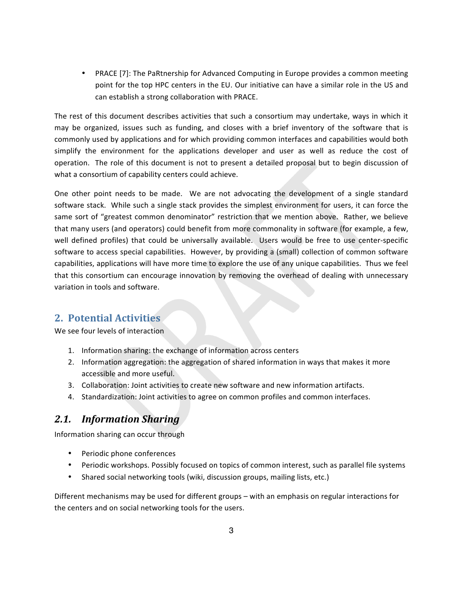• PRACE [7]: The PaRtnership for Advanced Computing in Europe provides a common meeting point for the top HPC centers in the EU. Our initiative can have a similar role in the US and can establish a strong collaboration with PRACE.

The rest of this document describes activities that such a consortium may undertake, ways in which it may be organized, issues such as funding, and closes with a brief inventory of the software that is commonly used by applications and for which providing common interfaces and capabilities would both simplify the environment for the applications developer and user as well as reduce the cost of operation. The role of this document is not to present a detailed proposal but to begin discussion of what a consortium of capability centers could achieve.

One other point needs to be made. We are not advocating the development of a single standard software stack. While such a single stack provides the simplest environment for users, it can force the same sort of "greatest common denominator" restriction that we mention above. Rather, we believe that many users (and operators) could benefit from more commonality in software (for example, a few, well defined profiles) that could be universally available. Users would be free to use center-specific software to access special capabilities. However, by providing a (small) collection of common software capabilities, applications will have more time to explore the use of any unique capabilities. Thus we feel that this consortium can encourage innovation by removing the overhead of dealing with unnecessary variation in tools and software.

### 2. Potential Activities

We see four levels of interaction

- 1. Information sharing: the exchange of information across centers
- 2. Information aggregation: the aggregation of shared information in ways that makes it more accessible and more useful.
- 3. Collaboration: Joint activities to create new software and new information artifacts.
- 4. Standardization: Joint activities to agree on common profiles and common interfaces.

#### $2.1.$ **Information Sharing**

Information sharing can occur through

- Periodic phone conferences
- Periodic workshops. Possibly focused on topics of common interest, such as parallel file systems
- Shared social networking tools (wiki, discussion groups, mailing lists, etc.)

Different mechanisms may be used for different groups - with an emphasis on regular interactions for the centers and on social networking tools for the users.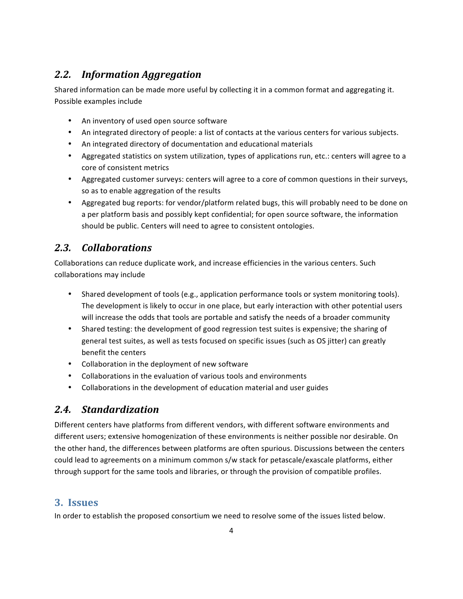### **Information Aggregation** 2.2.

Shared information can be made more useful by collecting it in a common format and aggregating it. Possible examples include

- An inventory of used open source software
- An integrated directory of people: a list of contacts at the various centers for various subjects.
- An integrated directory of documentation and educational materials
- Aggregated statistics on system utilization, types of applications run, etc.: centers will agree to a core of consistent metrics
- Aggregated customer surveys: centers will agree to a core of common questions in their surveys, so as to enable aggregation of the results
- Aggregated bug reports: for vendor/platform related bugs, this will probably need to be done on a per platform basis and possibly kept confidential; for open source software, the information should be public. Centers will need to agree to consistent ontologies.

### $2.3.$ **Collaborations**

Collaborations can reduce duplicate work, and increase efficiencies in the various centers. Such collaborations may include

- Shared development of tools (e.g., application performance tools or system monitoring tools). The development is likely to occur in one place, but early interaction with other potential users will increase the odds that tools are portable and satisfy the needs of a broader community
- Shared testing: the development of good regression test suites is expensive; the sharing of general test suites, as well as tests focused on specific issues (such as OS jitter) can greatly benefit the centers
- Collaboration in the deployment of new software
- Collaborations in the evaluation of various tools and environments
- $\bullet$ Collaborations in the development of education material and user guides

## 2.4. Standardization

Different centers have platforms from different vendors, with different software environments and different users; extensive homogenization of these environments is neither possible nor desirable. On the other hand, the differences between platforms are often spurious. Discussions between the centers could lead to agreements on a minimum common s/w stack for petascale/exascale platforms, either through support for the same tools and libraries, or through the provision of compatible profiles.

### 3. Issues

In order to establish the proposed consortium we need to resolve some of the issues listed below.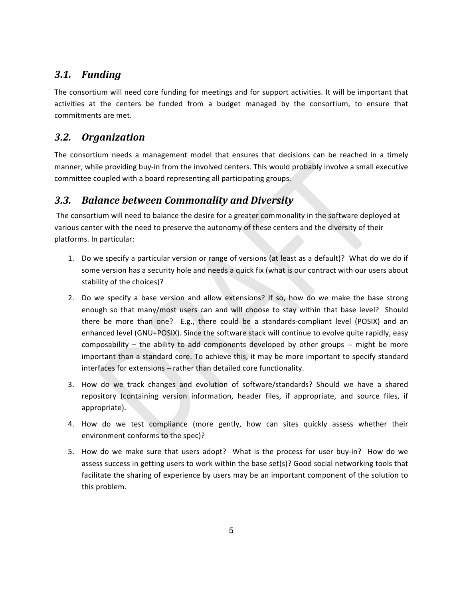#### **Funding 3.1.**

The consortium will need core funding for meetings and for support activities. It will be important that activities at the centers be funded from a budget managed by the consortium, to ensure that commitments are met.

### **Organization**  $3.2.$

The consortium needs a management model that ensures that decisions can be reached in a timely manner, while providing buy-in from the involved centers. This would probably involve a small executive committee coupled with a board representing all participating groups.

### **Balance between Commonality and Diversity**  $3.3.$

The consortium will need to balance the desire for a greater commonality in the software deployed at various center with the need to preserve the autonomy of these centers and the diversity of their platforms. In particular:

- 1. Do we specify a particular version or range of versions (at least as a default)? What do we do if some version has a security hole and needs a quick fix (what is our contract with our users about stability of the choices)?
- 2. Do we specify a base version and allow extensions? If so, how do we make the base strong enough so that many/most users can and will choose to stay within that base level? Should there be more than one? E.g., there could be a standards-compliant level (POSIX) and an enhanced level (GNU+POSIX). Since the software stack will continue to evolve quite rapidly, easy composability - the ability to add components developed by other groups -- might be more important than a standard core. To achieve this, it may be more important to specify standard interfaces for extensions - rather than detailed core functionality.
- 3. How do we track changes and evolution of software/standards? Should we have a shared repository (containing version information, header files, if appropriate, and source files, if appropriate).
- 4. How do we test compliance (more gently, how can sites quickly assess whether their environment conforms to the spec)?
- 5. How do we make sure that users adopt? What is the process for user buy-in? How do we assess success in getting users to work within the base set(s)? Good social networking tools that facilitate the sharing of experience by users may be an important component of the solution to this problem.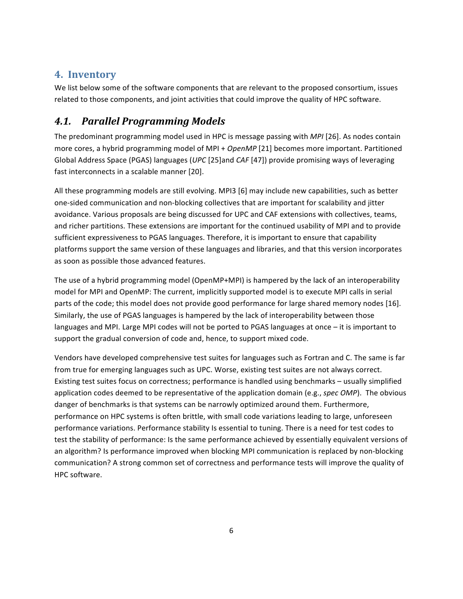## 4. Inventory

We list below some of the software components that are relevant to the proposed consortium, issues related to those components, and joint activities that could improve the quality of HPC software.

## 4.1. Parallel Programming Models

The predominant programming model used in HPC is message passing with MPI [26]. As nodes contain more cores, a hybrid programming model of MPI + OpenMP [21] becomes more important. Partitioned Global Address Space (PGAS) languages (UPC [25] and CAF [47]) provide promising ways of leveraging fast interconnects in a scalable manner [20].

All these programming models are still evolving. MPI3 [6] may include new capabilities, such as better one-sided communication and non-blocking collectives that are important for scalability and jitter avoidance. Various proposals are being discussed for UPC and CAF extensions with collectives, teams, and richer partitions. These extensions are important for the continued usability of MPI and to provide sufficient expressiveness to PGAS languages. Therefore, it is important to ensure that capability platforms support the same version of these languages and libraries, and that this version incorporates as soon as possible those advanced features.

The use of a hybrid programming model (OpenMP+MPI) is hampered by the lack of an interoperability model for MPI and OpenMP: The current, implicitly supported model is to execute MPI calls in serial parts of the code; this model does not provide good performance for large shared memory nodes [16]. Similarly, the use of PGAS languages is hampered by the lack of interoperability between those languages and MPI. Large MPI codes will not be ported to PGAS languages at once - it is important to support the gradual conversion of code and, hence, to support mixed code.

Vendors have developed comprehensive test suites for languages such as Fortran and C. The same is far from true for emerging languages such as UPC. Worse, existing test suites are not always correct. Existing test suites focus on correctness; performance is handled using benchmarks - usually simplified application codes deemed to be representative of the application domain (e.g., spec OMP). The obvious danger of benchmarks is that systems can be narrowly optimized around them. Furthermore, performance on HPC systems is often brittle, with small code variations leading to large, unforeseen performance variations. Performance stability Is essential to tuning. There is a need for test codes to test the stability of performance: Is the same performance achieved by essentially equivalent versions of an algorithm? Is performance improved when blocking MPI communication is replaced by non-blocking communication? A strong common set of correctness and performance tests will improve the quality of HPC software.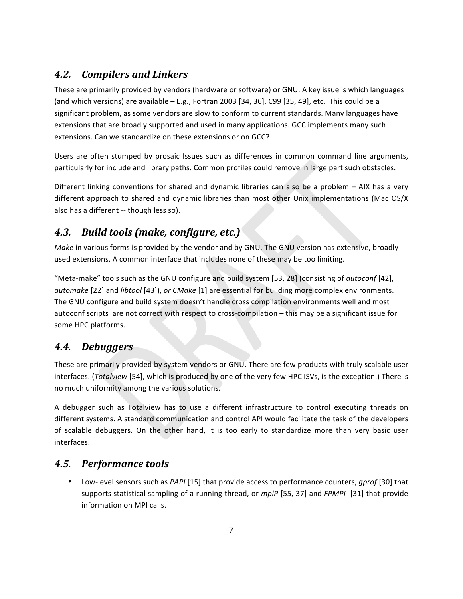### $4.2.$ **Compilers and Linkers**

These are primarily provided by vendors (hardware or software) or GNU. A key issue is which languages (and which versions) are available  $-$  E.g., Fortran 2003 [34, 36], C99 [35, 49], etc. This could be a significant problem, as some vendors are slow to conform to current standards. Many languages have extensions that are broadly supported and used in many applications. GCC implements many such extensions. Can we standardize on these extensions or on GCC?

Users are often stumped by prosaic Issues such as differences in common command line arguments, particularly for include and library paths. Common profiles could remove in large part such obstacles.

Different linking conventions for shared and dynamic libraries can also be a problem - AIX has a very different approach to shared and dynamic libraries than most other Unix implementations (Mac OS/X also has a different -- though less so).

### Build tools (make, configure, etc.)  $4.3.$

Make in various forms is provided by the vendor and by GNU. The GNU version has extensive, broadly used extensions. A common interface that includes none of these may be too limiting.

"Meta-make" tools such as the GNU configure and build system [53, 28] (consisting of *autoconf* [42], automake [22] and libtool [43]), or CMake [1] are essential for building more complex environments. The GNU configure and build system doesn't handle cross compilation environments well and most autoconf scripts are not correct with respect to cross-compilation - this may be a significant issue for some HPC platforms.

### 4.4. **Debuggers**

These are primarily provided by system vendors or GNU. There are few products with truly scalable user interfaces. (Totalview [54], which is produced by one of the very few HPC ISVs, is the exception.) There is no much uniformity among the various solutions.

A debugger such as Totalview has to use a different infrastructure to control executing threads on different systems. A standard communication and control API would facilitate the task of the developers of scalable debuggers. On the other hand, it is too early to standardize more than very basic user interfaces.

## 4.5. Performance tools

Low-level sensors such as PAPI [15] that provide access to performance counters, gprof [30] that supports statistical sampling of a running thread, or mpiP [55, 37] and FPMPI [31] that provide information on MPI calls.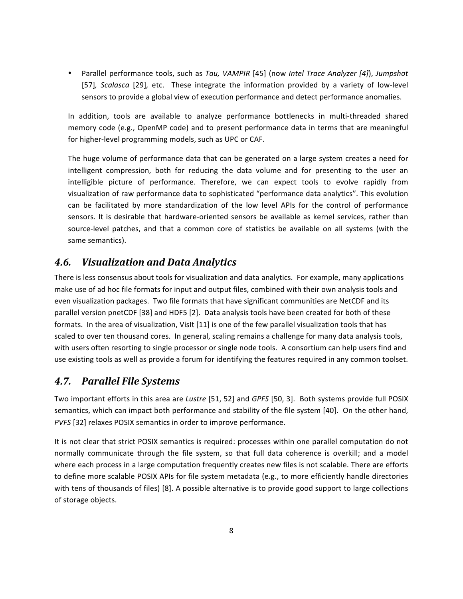Parallel performance tools, such as Tau, VAMPIR [45] (now Intel Trace Analyzer [4]), Jumpshot [57], Scalasca [29], etc. These integrate the information provided by a variety of low-level sensors to provide a global view of execution performance and detect performance anomalies.

In addition, tools are available to analyze performance bottlenecks in multi-threaded shared memory code (e.g., OpenMP code) and to present performance data in terms that are meaningful for higher-level programming models, such as UPC or CAF.

The huge volume of performance data that can be generated on a large system creates a need for intelligent compression, both for reducing the data volume and for presenting to the user an intelligible picture of performance. Therefore, we can expect tools to evolve rapidly from visualization of raw performance data to sophisticated "performance data analytics". This evolution can be facilitated by more standardization of the low level APIs for the control of performance sensors. It is desirable that hardware-oriented sensors be available as kernel services, rather than source-level patches, and that a common core of statistics be available on all systems (with the same semantics).

### $4.6.$ **Visualization and Data Analytics**

There is less consensus about tools for visualization and data analytics. For example, many applications make use of ad hoc file formats for input and output files, combined with their own analysis tools and even visualization packages. Two file formats that have significant communities are NetCDF and its parallel version pnetCDF [38] and HDF5 [2]. Data analysis tools have been created for both of these formats. In the area of visualization, VisIt [11] is one of the few parallel visualization tools that has scaled to over ten thousand cores. In general, scaling remains a challenge for many data analysis tools, with users often resorting to single processor or single node tools. A consortium can help users find and use existing tools as well as provide a forum for identifying the features required in any common toolset.

#### 4.7. **Parallel File Systems**

Two important efforts in this area are Lustre [51, 52] and GPFS [50, 3]. Both systems provide full POSIX semantics, which can impact both performance and stability of the file system [40]. On the other hand, PVFS [32] relaxes POSIX semantics in order to improve performance.

It is not clear that strict POSIX semantics is required: processes within one parallel computation do not normally communicate through the file system, so that full data coherence is overkill; and a model where each process in a large computation frequently creates new files is not scalable. There are efforts to define more scalable POSIX APIs for file system metadata (e.g., to more efficiently handle directories with tens of thousands of files) [8]. A possible alternative is to provide good support to large collections of storage objects.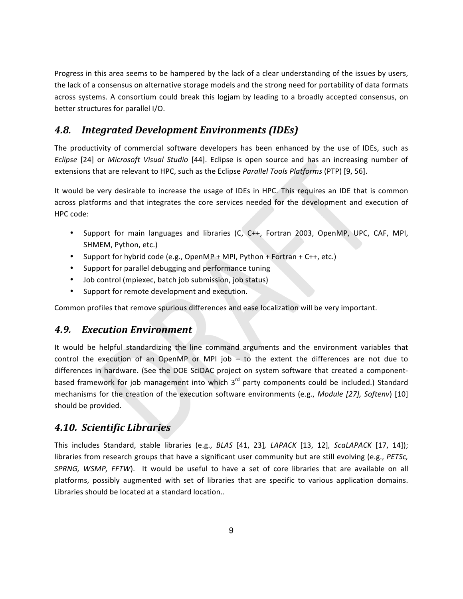Progress in this area seems to be hampered by the lack of a clear understanding of the issues by users, the lack of a consensus on alternative storage models and the strong need for portability of data formats across systems. A consortium could break this logjam by leading to a broadly accepted consensus, on better structures for parallel I/O.

### **4.8. Integrated Development Environments (IDEs)**

The productivity of commercial software developers has been enhanced by the use of IDEs, such as Eclipse [24] or Microsoft Visual Studio [44]. Eclipse is open source and has an increasing number of extensions that are relevant to HPC, such as the Eclipse Parallel Tools Platforms (PTP) [9, 56].

It would be very desirable to increase the usage of IDEs in HPC. This requires an IDE that is common across platforms and that integrates the core services needed for the development and execution of HPC code:

- Support for main languages and libraries (C, C++, Fortran 2003, OpenMP, UPC, CAF, MPI, SHMEM, Python, etc.)
- Support for hybrid code (e.g., OpenMP + MPI, Python + Fortran + C++, etc.)
- Support for parallel debugging and performance tuning
- Job control (mpiexec, batch job submission, job status)
- $\bullet$ Support for remote development and execution.

Common profiles that remove spurious differences and ease localization will be very important.

#### $4.9.$ **Execution Environment**

It would be helpful standardizing the line command arguments and the environment variables that control the execution of an OpenMP or MPI job - to the extent the differences are not due to differences in hardware. (See the DOE SciDAC project on system software that created a componentbased framework for job management into which 3<sup>rd</sup> party components could be included.) Standard mechanisms for the creation of the execution software environments (e.g., Module [27], Softenv) [10] should be provided.

## 4.10. Scientific Libraries

This includes Standard, stable libraries (e.g., BLAS [41, 23], LAPACK [13, 12], ScaLAPACK [17, 14]); libraries from research groups that have a significant user community but are still evolving (e.g., PETSc, SPRNG, WSMP, FFTW). It would be useful to have a set of core libraries that are available on all platforms, possibly augmented with set of libraries that are specific to various application domains. Libraries should be located at a standard location..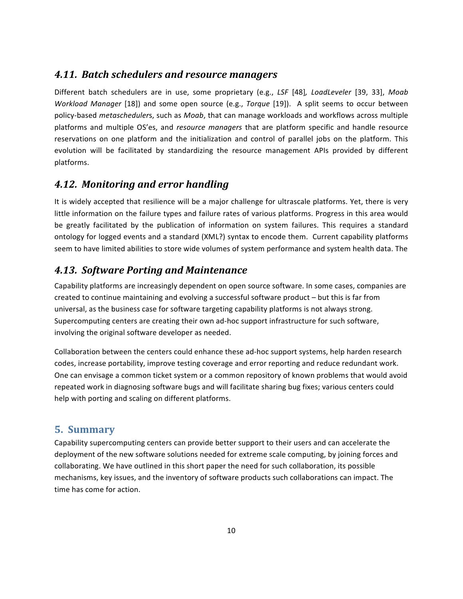### 4.11. Batch schedulers and resource managers

Different batch schedulers are in use, some proprietary (e.g., LSF [48], LoadLeveler [39, 33], Moab Workload Manager [18]) and some open source (e.g., Torque [19]). A split seems to occur between policy-based metaschedulers, such as Moab, that can manage workloads and workflows across multiple platforms and multiple OS'es, and resource managers that are platform specific and handle resource reservations on one platform and the initialization and control of parallel jobs on the platform. This evolution will be facilitated by standardizing the resource management APIs provided by different platforms.

## 4.12. Monitoring and error handling

It is widely accepted that resilience will be a major challenge for ultrascale platforms. Yet, there is very little information on the failure types and failure rates of various platforms. Progress in this area would be greatly facilitated by the publication of information on system failures. This requires a standard ontology for logged events and a standard (XML?) syntax to encode them. Current capability platforms seem to have limited abilities to store wide volumes of system performance and system health data. The

### 4.13. Software Porting and Maintenance

Capability platforms are increasingly dependent on open source software. In some cases, companies are created to continue maintaining and evolving a successful software product - but this is far from universal, as the business case for software targeting capability platforms is not always strong. Supercomputing centers are creating their own ad-hoc support infrastructure for such software, involving the original software developer as needed.

Collaboration between the centers could enhance these ad-hoc support systems, help harden research codes, increase portability, improve testing coverage and error reporting and reduce redundant work. One can envisage a common ticket system or a common repository of known problems that would avoid repeated work in diagnosing software bugs and will facilitate sharing bug fixes; various centers could help with porting and scaling on different platforms.

### **5. Summary**

Capability supercomputing centers can provide better support to their users and can accelerate the deployment of the new software solutions needed for extreme scale computing, by joining forces and collaborating. We have outlined in this short paper the need for such collaboration, its possible mechanisms, key issues, and the inventory of software products such collaborations can impact. The time has come for action.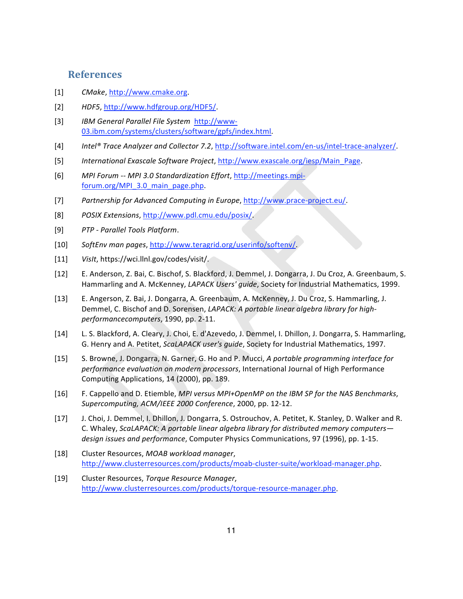### **References**

- $[1]$ CMake, http://www.cmake.org.
- $\lceil 2 \rceil$ HDF5, http://www.hdfgroup.org/HDF5/
- $[3]$ IBM General Parallel File System http://www-03.ibm.com/systems/clusters/software/gpfs/index.html.
- $[4]$ Intel® Trace Analyzer and Collector 7.2, http://software.intel.com/en-us/intel-trace-analyzer/.
- International Exascale Software Project, http://www.exascale.org/iesp/Main Page.  $[5]$
- $[6]$ MPI Forum -- MPI 3.0 Standardization Effort, http://meetings.mpiforum.org/MPI 3.0 main page.php.
- $\lceil 7 \rceil$ Partnership for Advanced Computing in Europe, http://www.prace-project.eu/.
- $[8]$ POSIX Extensions, http://www.pdl.cmu.edu/posix/
- $[9]$ PTP - Parallel Tools Platform.
- $[10]$ SoftEnv man pages, http://www.teragrid.org/userinfo/softenv/
- VisIt, https://wci.llnl.gov/codes/visit/.  $[11]$
- $[12]$ E. Anderson, Z. Bai, C. Bischof, S. Blackford, J. Demmel, J. Dongarra, J. Du Croz, A. Greenbaum, S. Hammarling and A. McKenney, LAPACK Users' guide, Society for Industrial Mathematics, 1999.
- $[13]$ E. Angerson, Z. Bai, J. Dongarra, A. Greenbaum, A. McKenney, J. Du Croz, S. Hammarling, J. Demmel, C. Bischof and D. Sorensen, LAPACK: A portable linear algebra library for highperformancecomputers, 1990, pp. 2-11.
- $[14]$ L. S. Blackford, A. Cleary, J. Choi, E. d'Azevedo, J. Demmel, I. Dhillon, J. Dongarra, S. Hammarling, G. Henry and A. Petitet, ScaLAPACK user's guide, Society for Industrial Mathematics, 1997.
- $[15]$ S. Browne, J. Dongarra, N. Garner, G. Ho and P. Mucci, A portable programming interface for performance evaluation on modern processors, International Journal of High Performance Computing Applications, 14 (2000), pp. 189.
- $[16]$ F. Cappello and D. Etiemble, MPI versus MPI+OpenMP on the IBM SP for the NAS Benchmarks, Supercomputing, ACM/IEEE 2000 Conference, 2000, pp. 12-12.
- $[17]$ J. Choi, J. Demmel, I. Dhillon, J. Dongarra, S. Ostrouchov, A. Petitet, K. Stanley, D. Walker and R. C. Whaley, ScaLAPACK: A portable linear algebra library for distributed memory computersdesign issues and performance, Computer Physics Communications, 97 (1996), pp. 1-15.
- $[18]$ Cluster Resources, MOAB workload manager, http://www.clusterresources.com/products/moab-cluster-suite/workload-manager.php.
- $[19]$ Cluster Resources, Torque Resource Manager, http://www.clusterresources.com/products/torque-resource-manager.php.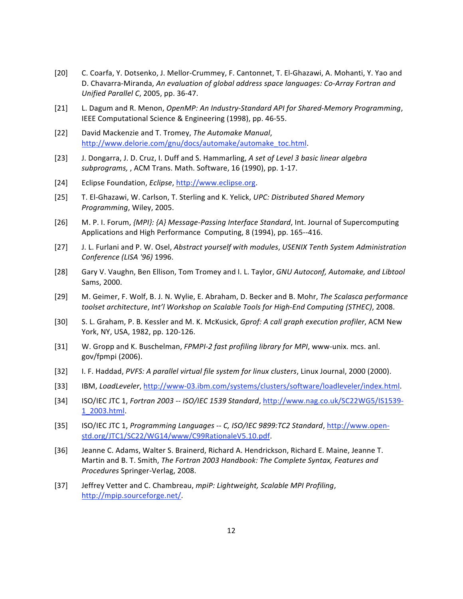- $[20]$ C. Coarfa, Y. Dotsenko, J. Mellor-Crummey, F. Cantonnet, T. El-Ghazawi, A. Mohanti, Y. Yao and D. Chavarra-Miranda, An evaluation of global address space languages: Co-Array Fortran and Unified Parallel C, 2005, pp. 36-47.
- $[21]$ L. Dagum and R. Menon, OpenMP: An Industry-Standard API for Shared-Memory Programming, IEEE Computational Science & Engineering (1998), pp. 46-55.
- $[22]$ David Mackenzie and T. Tromey, The Automake Manual, http://www.delorie.com/gnu/docs/automake/automake\_toc.html
- $[23]$ J. Dongarra, J. D. Cruz, I. Duff and S. Hammarling, A set of Level 3 basic linear algebra subprograms, , ACM Trans. Math. Software, 16 (1990), pp. 1-17.
- $[24]$ Eclipse Foundation, Eclipse, http://www.eclipse.org.
- $[25]$ T. El-Ghazawi, W. Carlson, T. Sterling and K. Yelick, UPC: Distributed Shared Memory Programming, Wiley, 2005.
- M. P. I. Forum, {MPI}: {A} Message-Passing Interface Standard, Int. Journal of Supercomputing  $[26]$ Applications and High Performance Computing, 8 (1994), pp. 165--416.
- $[27]$ J. L. Furlani and P. W. Osel, Abstract yourself with modules, USENIX Tenth System Administration Conference (LISA '96) 1996.
- $[28]$ Gary V. Vaughn, Ben Ellison, Tom Tromey and I. L. Taylor, GNU Autoconf, Automake, and Libtool Sams, 2000.
- $[29]$ M. Geimer, F. Wolf, B. J. N. Wylie, E. Abraham, D. Becker and B. Mohr, The Scalasca performance toolset architecture, Int'l Workshop on Scalable Tools for High-End Computing (STHEC), 2008.
- $[30]$ S. L. Graham, P. B. Kessler and M. K. McKusick, Gprof: A call graph execution profiler, ACM New York, NY, USA, 1982, pp. 120-126.
- $[31]$ W. Gropp and K. Buschelman, FPMPI-2 fast profiling library for MPI, www-unix. mcs. anl. gov/fpmpi (2006).
- I. F. Haddad, PVFS: A parallel virtual file system for linux clusters, Linux Journal, 2000 (2000).  $[32]$
- $[33]$ IBM, LoadLeveler, http://www-03.ibm.com/systems/clusters/software/loadleveler/index.html.
- $[34]$ ISO/IEC JTC 1, Fortran 2003 -- ISO/IEC 1539 Standard, http://www.nag.co.uk/SC22WG5/IS1539-1 2003.html.
- ISO/IEC JTC 1, Programming Languages -- C, ISO/IEC 9899:TC2 Standard, http://www.open- $[35]$ std.org/JTC1/SC22/WG14/www/C99RationaleV5.10.pdf.
- $[36]$ Jeanne C. Adams, Walter S. Brainerd, Richard A. Hendrickson, Richard E. Maine, Jeanne T. Martin and B. T. Smith, The Fortran 2003 Handbook: The Complete Syntax, Features and Procedures Springer-Verlag, 2008.
- $[37]$ Jeffrey Vetter and C. Chambreau, mpiP: Lightweight, Scalable MPI Profiling, http://mpip.sourceforge.net/